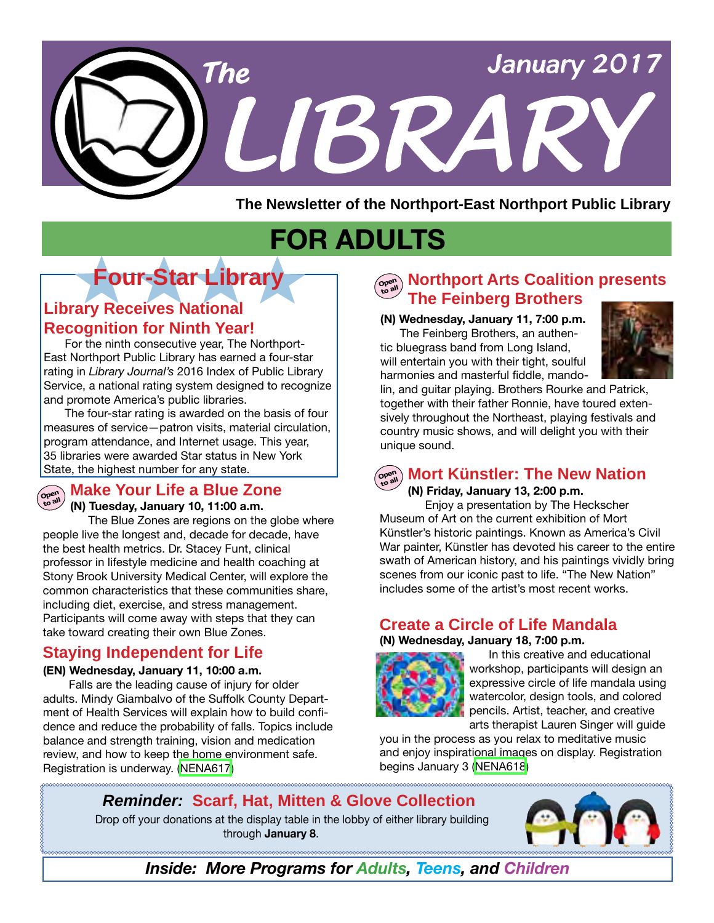

**The Newsletter of the Northport-East Northport Public Library**

## **FOR ADULTS**

# **Four-Star Library**

## **Library Receives National Recognition for Ninth Year!**

*The* rating in *Library Journal's* 2016 Index of Public Library For the ninth consecutive year, The Northport-East Northport Public Library has earned a four-star Service, a national rating system designed to recognize and promote America's public libraries.

The four-star rating is awarded on the basis of four measures of service—patron visits, material circulation, program attendance, and Internet usage. This year, 35 libraries were awarded Star status in New York State, the highest number for any state.

#### **Ope<sup>n</sup> to all Make Your Life a Blue Zone**

**(N) Tuesday, January 10, 11:00 a.m.**

 The Blue Zones are regions on the globe where people live the longest and, decade for decade, have the best health metrics. Dr. Stacey Funt, clinical professor in lifestyle medicine and health coaching at Stony Brook University Medical Center, will explore the common characteristics that these communities share, including diet, exercise, and stress management. Participants will come away with steps that they can take toward creating their own Blue Zones.

## **Staying Independent for Life**

### **(EN) Wednesday, January 11, 10:00 a.m.**

 Falls are the leading cause of injury for older adults. Mindy Giambalvo of the Suffolk County Department of Health Services will explain how to build confidence and reduce the probability of falls. Topics include balance and strength training, vision and medication review, and how to keep the home environment safe. Registration is underway. [\(NENA617](http://alpha1.suffolk.lib.ny.us/record%3Dg1068346~S43))

#### **Ope<sup>n</sup> to all Northport Arts Coalition presents The Feinberg Brothers**

**(N) Wednesday, January 11, 7:00 p.m.**

The Feinberg Brothers, an authentic bluegrass band from Long Island, will entertain you with their tight, soulful harmonies and masterful fiddle, mando-



lin, and guitar playing. Brothers Rourke and Patrick, together with their father Ronnie, have toured extensively throughout the Northeast, playing festivals and country music shows, and will delight you with their unique sound.



## **Mort Künstler: The New Nation**

### **(N) Friday, January 13, 2:00 p.m.**

Enjoy a presentation by The Heckscher Museum of Art on the current exhibition of Mort Künstler's historic paintings. Known as America's Civil War painter, Künstler has devoted his career to the entire swath of American history, and his paintings vividly bring scenes from our iconic past to life. "The New Nation" includes some of the artist's most recent works.

## **Create a Circle of Life Mandala**

#### **(N) Wednesday, January 18, 7:00 p.m.**



In this creative and educational workshop, participants will design an expressive circle of life mandala using watercolor, design tools, and colored pencils. Artist, teacher, and creative arts therapist Lauren Singer will guide

you in the process as you relax to meditative music and enjoy inspirational images on display. Registration begins January 3 [\(NENA618](http://alpha1.suffolk.lib.ny.us/record%3Dg1069130~S43))

*Reminder:* **Scarf, Hat, Mitten & Glove Collection**

000000000000000000000000000000000000

Drop off your donations at the display table in the lobby of either library building through **January 8**.



*Inside: More Programs for Adults, Teens, and Children*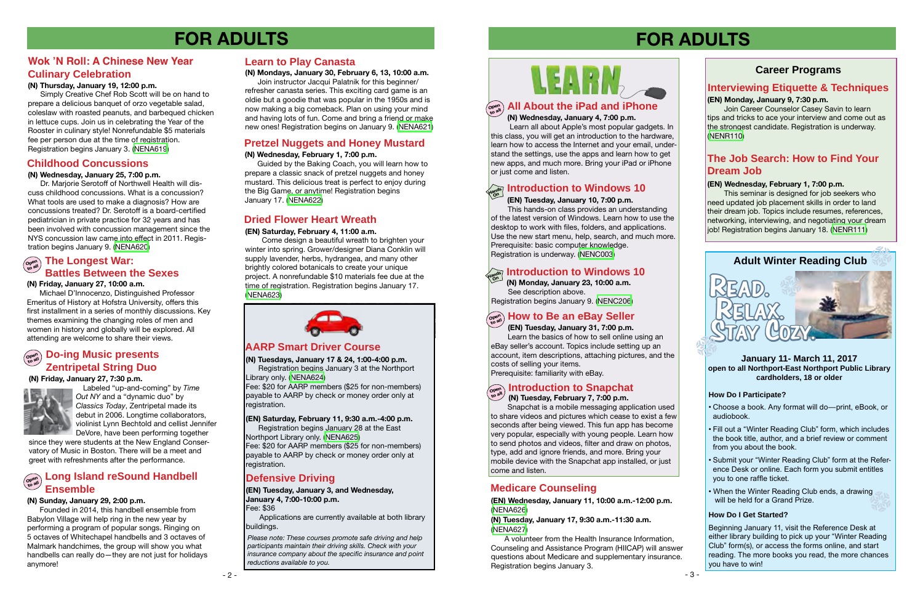**(N) Wednesday, January 4, 7:00 p.m.**

Learn all about Apple's most popular gadgets. In this class, you will get an introduction to the hardware, learn how to access the Internet and your email, understand the settings, use the apps and learn how to get new apps, and much more. Bring your iPad or iPhone or just come and listen.

### **(EN) Tuesday, January 10, 7:00 p.m.**

 This hands-on class provides an understanding of the latest version of Windows. Learn how to use the desktop to work with files, folders, and applications. Use the new start menu, help, search, and much more. Prerequisite: basic computer knowledge. Registration is underway. ([NENC003](http://alpha1.suffolk.lib.ny.us/record%3Dg1061941~S43))

## **FOR ADULTS**

## **Career Programs**

## **FOR ADULTS**

**(EN) Wednesday, January 11, 10:00 a.m.-12:00 p.m.** ([NENA626](http://alpha1.suffolk.lib.ny.us/record%3Dg1069336~S43))

**(N) Tuesday, January 17, 9:30 a.m.-11:30 a.m.**  ([NENA627](http://alpha1.suffolk.lib.ny.us/record%3Dg1069340~S43))

## **Hands On Introduction to Windows 10**

Fee: \$20 for AARP members (\$25 for non-members) payable to AARP by check or money order only at payable to AARP by crieck of morley order only at **the second of the south of the COV** (N) Tuesday, February 7, 7:00 p.m.<br> **Snapchat is a mobile messaging application used** Snapchat is a mobile messaging application used

> A volunteer from the Health Insurance Information, Counseling and Assistance Program (HIICAP) will answer questions about Medicare and supplementary insurance. Registration begins January 3.

to share videos and pictures which cease to exist a few seconds after being viewed. This fun app has become very popular, especially with young people. Learn how to send photos and videos, filter and draw on photos, type, add and ignore friends, and more. Bring your mobile device with the Snapchat app installed, or just come and listen.

#### **Ope<sup>n</sup> to all All About the iPad and iPhone**

### **(EN) Tuesday, January 31, 7:00 p.m.**

 Learn the basics of how to sell online using an eBay seller's account. Topics include setting up an account, item descriptions, attaching pictures, and the costs of selling your items. Prerequisite: familiarity with eBay.

 $\begin{bmatrix} \n\begin{matrix}\n\text{open} \\
\text{open}\n\end{matrix}\n\end{bmatrix}$  Introduction to Snapchat

## **Childhood Concussions**

## **Wok 'N Roll: A Chinese New Year Culinary Celebration**

## **Defensive Driving**

*Please note: These courses promote safe driving and help participants maintain their driving skills. Check with your insurance company about the specific insurance and point reductions available to you.*



# **LEARN**

## **AARP Smart Driver Course**

**(N) Tuesdays, January 17 & 24, 1:00-4:00 p.m.** Registration begins January 3 at the Northport Library only. [\(NENA624](http://alpha1.suffolk.lib.ny.us/record%3Dg1069310~S43))

Join Career Counselor Casey Savin to learn tips and tricks to ace your interview and come out as the strongest candidate. Registration is underway. ([NENR110\)](http://alpha1.suffolk.lib.ny.us/record%3Dg1068617~S43)

## **(EN) Monday, January 9, 7:30 p.m. Interviewing Etiquette & Techniques**

**(EN) Tuesday, January 3, and Wednesday, January 4, 7:00-10:00 p.m.** Fee: \$36

Applications are currently available at both library buildings.

## **Medicare Counseling**

#### **(N) Thursday, January 19, 12:00 p.m.**

 Simply Creative Chef Rob Scott will be on hand to prepare a delicious banquet of orzo vegetable salad, coleslaw with roasted peanuts, and barbequed chicken in lettuce cups. Join us in celebrating the Year of the Rooster in culinary style! Nonrefundable \$5 materials fee per person due at the time of registration. Registration begins January 3. ([NENA619\)](http://alpha1.suffolk.lib.ny.us/record%3Dg1069131~S43)

#### **Ope<sup>n</sup> to all The Longest War: Battles Between the Sexes**

#### **(N) Wednesday, January 25, 7:00 p.m.**

 Dr. Marjorie Serotoff of Northwell Health will discuss childhood concussions. What is a concussion? What tools are used to make a diagnosis? How are concussions treated? Dr. Serotoff is a board-certified pediatrician in private practice for 32 years and has been involved with concussion management since the NYS concussion law came into effect in 2011. Reaistration begins January 9. ([NENA620](http://alpha1.suffolk.lib.ny.us/record%3Dg1069132~S43))

This seminar is designed for job seekers who need updated job placement skills in order to land their dream job. Topics include resumes, references, networking, interviewing, and negotiating your dream iob! Registration begins January 18. ([NENR111\)](http://alpha1.suffolk.lib.ny.us/record%3Dg1069388~S43)

## **Ope<sup>n</sup> to all How to Be an eBay Seller**

#### **Long Island reSound Handbell Ensemble Ope<sup>n</sup> to all**

#### **(N) Friday, January 27, 7:30 p.m.**



Labeled "up-and-coming" by *Time Out NY* and a "dynamic duo" by *Classics Today*, Zentripetal made its debut in 2006. Longtime collaborators, violinist Lynn Bechtold and cellist Jennifer DeVore, have been performing together

since they were students at the New England Conservatory of Music in Boston. There will be a meet and greet with refreshments after the performance.

#### **Do-ing Music presents Zentripetal String Duo Ope<sup>n</sup> to all**

#### **(N) Sunday, January 29, 2:00 p.m.**

 Founded in 2014, this handbell ensemble from Babylon Village will help ring in the new year by performing a program of popular songs. Ringing on 5 octaves of Whitechapel handbells and 3 octaves of Malmark handchimes, the group will show you what handbells can really do—they are not just for holidays anymore!

#### **(N) Friday, January 27, 10:00 a.m.**

Michael D'Innocenzo, Distinguished Professor Emeritus of History at Hofstra University, offers this first installment in a series of monthly discussions. Key themes examining the changing roles of men and women in history and globally will be explored. All attending are welcome to share their views.

**(N) Mondays, January 30, February 6, 13, 10:00 a.m.** Join instructor Jacqui Palatnik for this beginner/

refresher canasta series. This exciting card game is an oldie but a goodie that was popular in the 1950s and is now making a big comeback. Plan on using your mind and having lots of fun. Come and bring a friend or make new ones! Registration begins on January 9. [\(NENA621](http://alpha1.suffolk.lib.ny.us/record%3Dg1069212~S43))

## **Learn to Play Canasta**

#### **(N) Wednesday, February 1, 7:00 p.m.**

 Guided by the Baking Coach, you will learn how to prepare a classic snack of pretzel nuggets and honey mustard. This delicious treat is perfect to enjoy during the Big Game, or anytime! Registration begins January 17. [\(NENA622\)](http://alpha1.suffolk.lib.ny.us/record%3Dg1069217~S43)

## **Pretzel Nuggets and Honey Mustard**

## **Dried Flower Heart Wreath**

#### **(EN) Saturday, February 4, 11:00 a.m.**

 Come design a beautiful wreath to brighten your winter into spring. Grower/designer Diana Conklin will supply lavender, herbs, hydrangea, and many other brightly colored botanicals to create your unique project. A nonrefundable \$10 materials fee due at the time of registration. Registration begins January 17. ([NENA623](http://alpha1.suffolk.lib.ny.us/record%3Dg1069247~S43))



#### **(EN) Saturday, February 11, 9:30 a.m.-4:00 p.m.**

Registration begins January 28 at the East Northport Library only. [\(NENA625](http://alpha1.suffolk.lib.ny.us/record%3Dg1069311~S43)) Fee: \$20 for AARP members (\$25 for non-members) payable to AARP by check or money order only at registration.

#### **Introduction to Windows 10 Hands On**

**(N) Monday, January 23, 10:00 a.m.**  See description above. Registration begins January 9. [\(NENC206\)](http://alpha1.suffolk.lib.ny.us/record%3Dg1066488~S43)

- audiobook.
- • Fill out a "Winter Reading Club" form, which includes the book title, author, and a brief review or comment from you about the book.
- • Submit your "Winter Reading Club" form at the Reference Desk or online. Each form you submit entitles you to one raffle ticket.
- When the Winter Reading Club ends, a drawing will be held for a Grand Prize.



#### **How Do I Get Started?**

Beginning January 11, visit the Reference Desk at either library building to pick up your "Winter Reading Club" form(s), or access the forms online, and start reading. The more books you read, the more chances you have to win!

### **(EN) Wednesday, February 1, 7:00 p.m.**

## **The Job Search: How to Find Your Dream Job**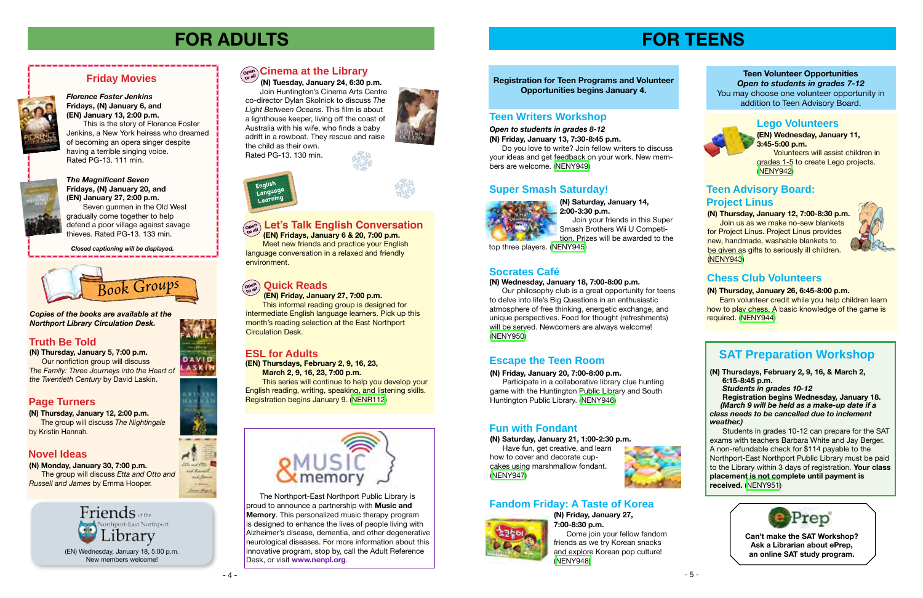**(N) Friday, January 20, 7:00-8:00 p.m.**

 Participate in a collaborative library clue hunting game with the Huntington Public Library and South Huntington Public Library. ([NENY946](http://alpha1.suffolk.lib.ny.us/record%3Dg1068809~S43))

**Registration for Teen Programs and Volunteer Opportunities begins January 4.**



**(EN) Wednesday, January 11, 3:45-5:00 p.m.**

 Volunteers will assist children in grades 1-5 to create Lego projects. [\(NENY942](http://alpha1.suffolk.lib.ny.us/record%3Dg1068840~S43))

#### **(N) Thursday, January 26, 6:45-8:00 p.m.**

 Earn volunteer credit while you help children learn how to play chess. A basic knowledge of the game is required. [\(NENY944](http://alpha1.suffolk.lib.ny.us/record%3Dg1068806~S43))

## **FOR ADULTS**

**(N) Monday, January 30, 7:00 p.m.** The group will discuss *Etta and Otto and Russell and James* by Emma Hooper.



#### **(EN) Friday, January 27, 7:00 p.m.**

This informal reading group is designed for intermediate English language learners. Pick up this month's reading selection at the East Northport Circulation Desk.

Meet new friends and practice your English language conversation in a relaxed and friendly environment.



ASKIN

and Massell and James Sami Magaz

#### *The Magnificent Seven* **Fridays, (N) January 20, and**

#### **Let's Talk English Conversation (EN) Fridays, January 6 & 20, 7:00 p.m. Ope<sup>n</sup> to all**

**(EN) January 27, 2:00 p.m.** Seven gunmen in the Old West gradually come together to help defend a poor village against savage thieves. Rated PG-13. 133 min.

## **Friday Movies**



## **Ope<sup>n</sup> to all**

**(N) Saturday, January 14, 2:00-3:30 p.m.** Join your friends in this Super Smash Brothers Wii U Competi-

tion. Prizes will be awarded to the top three players. ([NENY945](http://alpha1.suffolk.lib.ny.us/record%3Dg1068810~S43))

## **Lego Volunteers**

### **(N) Thursday, January 12, 7:00-8:30 p.m.**

Join us as we make no-sew blankets for Project Linus. Project Linus provides new, handmade, washable blankets to be given as gifts to seriously ill children. ([NENY943\)](http://alpha1.suffolk.lib.ny.us/record%3Dg1068871~S43)



## **Escape the Teen Room**

## **Super Smash Saturday!**



## **Socrates Café**

#### **(N) Wednesday, January 18, 7:00-8:00 p.m.**

 Our philosophy club is a great opportunity for teens to delve into life's Big Questions in an enthusiastic atmosphere of free thinking, energetic exchange, and unique perspectives. Food for thought (refreshments) will be served. Newcomers are always welcome! ([NENY950](http://alpha1.suffolk.lib.ny.us/record%3Dg1068854~S43))

### **Teen Volunteer Opportunities** *Open to students in grades 7-12* You may choose one volunteer opportunity in addition to Teen Advisory Board.



## **Teen Advisory Board: Project Linus**

## **Chess Club Volunteers**

## **Truth Be Told**

## **Page Turners**

## **Novel Ideas**

**(N) Thursday, January 12, 2:00 p.m.** The group will discuss *The Nightingale*  by Kristin Hannah*.*

## *Florence Foster Jenkins*

**Fridays, (N) January 6, and (EN) January 13, 2:00 p.m.**  This is the story of Florence Foster Jenkins, a New York heiress who dreamed of becoming an opera singer despite having a terrible singing voice. Rated PG-13. 111 min.



*Closed captioning will be displayed.*





#### *Copies of the books are available at the Northport Library Circulation Desk.*

**(N) Thursday, January 5, 7:00 p.m.** Our nonfiction group will discuss *The Family: Three Journeys into the Heart of the Twentieth Century* by David Laskin.



## **Cinema at the Library Ope<sup>n</sup> to all**

 **(N) Tuesday, January 24, 6:30 p.m.** Join Huntington's Cinema Arts Centre co-director Dylan Skolnick to discuss *The Light Between Oceans*. This film is about a lighthouse keeper, living off the coast of Australia with his wife, who finds a baby adrift in a rowboat. They rescue and raise the child as their own. Rated PG-13. 130 min.





**(N) Saturday, January 21, 1:00-2:30 p.m.**

 Have fun, get creative, and learn how to cover and decorate cupcakes using marshmallow fondant. [\(NENY947](http://alpha1.suffolk.lib.ny.us/record%3Dg1068866~S43))



## **Fun with Fondant**

## **Fandom Friday: A Taste of Korea**

**(N) Friday, January 27, 7:00-8:30 p.m.**



 Come join your fellow fandom friends as we try Korean snacks and explore Korean pop culture! [\(NENY948\)](http://alpha1.suffolk.lib.ny.us/record%3Dg1068808~S43)

## **Teen Writers Workshop**

*Open to students in grades 8-12*

**(N) Friday, January 13, 7:30-8:45 p.m.**

 Do you love to write? Join fellow writers to discuss your ideas and get feedback on your work. New members are welcome. ([NENY949](http://alpha1.suffolk.lib.ny.us/record%3Dg1068802~S43))

#### **(N) Thursdays, February 2, 9, 16, & March 2, 6:15-8:45 p.m.**

 *Students in grades 10-12* 

**Registration begins Wednesday, January 18.**  *(March 9 will be held as a make-up date if a class needs to be cancelled due to inclement weather.)*

Students in grades 10-12 can prepare for the SAT exams with teachers Barbara White and Jay Berger. A non-refundable check for \$114 payable to the Northport-East Northport Public Library must be paid to the Library within 3 days of registration. **Your class placement is not complete until payment is received.** [\(NENY951\)](http://alpha1.suffolk.lib.ny.us/record%3Dg1068658~S43)



## **SAT Preparation Workshop**

**Can't make the SAT Workshop? Ask a Librarian about ePrep, an online SAT study program.** 

The Northport-East Northport Public Library is proud to announce a partnership with **Music and Memory**. This personalized music therapy program is designed to enhance the lives of people living with Alzheimer's disease, dementia, and other degenerative neurological diseases. For more information about this innovative program, stop by, call the Adult Reference Desk, or visit **www.nenpl.org**.

## **ESL for Adults**

**(EN) Thursdays, February 2, 9, 16, 23,** 

 **March 2, 9, 16, 23, 7:00 p.m.** This series will continue to help you develop your English reading, writing, speaking, and listening skills. Registration begins January 9. [\(NENR112\)](http://alpha1.suffolk.lib.ny.us/record%3Dg1065404~S43)

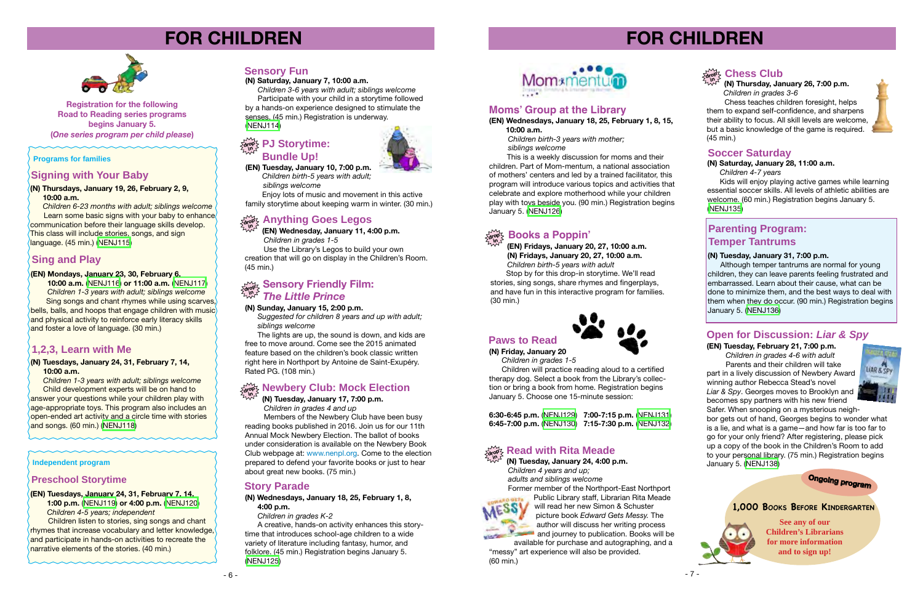## **FOR CHILDREN**



**Registration for the following Road to Reading series programs begins January 5. (***One series program per child please***)**

### **Programs for families**

#### **(N) Thursdays, January 19, 26, February 2, 9, 10:00 a.m.**

Enjoy lots of music and movement in this active family storytime about keeping warm in winter. (30 min.)

 *Children 6-23 months with adult; siblings welcome* Learn some basic signs with your baby to enhance communication before their language skills develop. This class will include stories, songs, and sign language. (45 min.) [\(NENJ115\)](http://alpha1.suffolk.lib.ny.us/record%3Dg1067030~S43)

**(EN) Tuesday, January 10, 7:00 p.m.**  *Children birth-5 years with adult; siblings welcome*

## **FOR CHILDREN**

 Use the Library's Legos to build your own creation that will go on display in the Children's Room.  $(45 \text{ min.})$ 

**(EN) Fridays, January 20, 27, 10:00 a.m. (N) Fridays, January 20, 27, 10:00 a.m.**  *Children birth-5 years with adult* Stop by for this drop-in storytime. We'll read

## $\frac{1}{2}$  are  $\frac{1}{2}$  **PJ Storytime: Bundle Up!**

stories, sing songs, share rhymes and fingerplays, and have fun in this interactive program for families. (30 min.)

## **(N) Tuesday, January 17, 7:00 p.m.**

 *Children in grades 4 and up*

## **drop in Anything Goes Legos**

 Members of the Newbery Club have been busy reading books published in 2016. Join us for our 11th Annual Mock Newbery Election. The ballot of books under consideration is available on the Newbery Book Club webpage at: www.nenpl.org. Come to the election prepared to defend your favorite books or just to hear about great new books. (75 min.)

#### **drop in Read with Rita Meade**

**(EN) Wednesday, January 11, 4:00 p.m.**  *Children in grades 1-5*

> Public Library staff, Librarian Rita Meade will read her new Simon & Schuster picture book *Edward Gets Messy.* The author will discuss her writing process and journey to publication. Books will be

#### **Independent program**

#### **(N) Sunday, January 15, 2:00 p.m.**

*Suggested for children 8 years and up with adult; siblings welcome*

## **Paws to Read (N) Friday, January 20**

#### **drop in Books a Poppin'**

 The lights are up, the sound is down, and kids are free to move around. Come see the 2015 animated feature based on the children's book classic written right here in Northport by Antoine de Saint-Exupéry. Rated PG. (108 min.)

## **drop in Election**<br>تَرْتَبَعُ

 *Children in grades 1-5*

 Sing songs and chant rhymes while using scarves, bells, balls, and hoops that engage children with music) and physical activity to reinforce early literacy skills and foster a love of language. (30 min.)

> Children will practice reading aloud to a certified therapy dog. Select a book from the Library's collection or bring a book from home. Registration begins January 5. Choose one 15-minute session:

 *Children 1-3 years with adult; siblings welcome* **Child development experts will be on hand to** answer your questions while your children play with age-appropriate toys. This program also includes an open-ended art activity and a circle time with stories and songs. (60 min.) [\(NENJ118\)](http://alpha1.suffolk.lib.ny.us/record%3Dg1068630~S43)

**6:30-6:45 p.m.** ([NENJ129\)](http://alpha1.suffolk.lib.ny.us/record%3Dg1068632~S43) **7:00-7:15 p.m.** ([NENJ131](http://alpha1.suffolk.lib.ny.us/record%3Dg1068634~S43)) **6:45-7:00 p.m.** ([NENJ130\)](http://alpha1.suffolk.lib.ny.us/record%3Dg1068633~S43) **7:15-7:30 p.m.** ([NENJ132](http://alpha1.suffolk.lib.ny.us/record%3Dg1068635~S43))



#### **(N) Wednesdays, January 18, 25, February 1, 8, 4:00 p.m.**

*Children in grades K-2*

A creative, hands-on activity enhances this storytime that introduces school-age children to a wide variety of literature including fantasy, humor, and folklore. (45 min.) Registration begins January 5. [\(NENJ125\)](http://alpha1.suffolk.lib.ny.us/record%3Dg1068848~S43)



**See any of our Children's Librarians for more information and to sign up!**

**1,000 Books Before Kindergarten**

**Ongoing program**

### **Story Parade**

**(N) Tuesday, January 24, 4:00 p.m.**  *Children 4 years and up; adults and siblings welcome*

Former member of the Northport-East Northport



available for purchase and autographing, and a "messy" art experience will also be provided. (60 min.)





**(N) Thursday, January 26, 7:00 p.m.**  *Children in grades 3-6*

#### **Sensory Friendly Film:** *The Little Prince* **drop in**

 Chess teaches children foresight, helps them to expand self-confidence, and sharpens their ability to focus. All skill levels are welcome, but a basic knowledge of the game is required. (45 min.)



## **Chess Club**

#### **(N) Saturday, January 28, 11:00 a.m.**

 *Children 4-7 years*

Kids will enjoy playing active games while learning essential soccer skills. All levels of athletic abilities are welcome. (60 min.) Registration begins January 5. ([NENJ135\)](http://alpha1.suffolk.lib.ny.us/record%3Dg1068288~S43)

## **Soccer Saturday**

#### **(N) Saturday, January 7, 10:00 a.m.**

 *Children 3-6 years with adult; siblings welcome* Participate with your child in a storytime followed

by a hands-on experience designed to stimulate the senses. (45 min.) Registration is underway. ([NENJ114](http://alpha1.suffolk.lib.ny.us/record%3Dg1067027~S43))

## **Sensory Fun**

## **Signing with Your Baby**

#### **(EN) Mondays, January 23, 30, February 6,**

 **10:00 a.m.** [\(NENJ116\)](http://alpha1.suffolk.lib.ny.us/record%3Dg1068759~S43) **or 11:00 a.m.** [\(NENJ117\)](http://alpha1.suffolk.lib.ny.us/record%3Dg1068760~S43)  *Children 1-3 years with adult; siblings welcome*

## **Sing and Play**

## **1,2,3, Learn with Me**

#### **(N) Tuesdays, January 24, 31, February 7, 14, 10:00 a.m.**

#### **(EN) Tuesdays, January 24, 31, February 7, 14,**

 **1:00 p.m.** ([NENJ119](http://alpha1.suffolk.lib.ny.us/record%3Dg1068761~S43)) **or 4:00 p.m.** ([NENJ120](http://alpha1.suffolk.lib.ny.us/record%3Dg1068764~S43))  *Children 4-5 years; independent* 

Children listen to stories, sing songs and chant

rhymes that increase vocabulary and letter knowledge, and participate in hands-on activities to recreate the narrative elements of the stories. (40 min.)

## **Preschool Storytime**

## **Moms' Group at the Library**

**(EN) Wednesdays, January 18, 25, February 1, 8, 15, 10:00 a.m.**

 *Children birth-3 years with mother; siblings welcome*

 This is a weekly discussion for moms and their children. Part of Mom-mentum, a national association of mothers' centers and led by a trained facilitator, this program will introduce various topics and activities that celebrate and explore motherhood while your children play with toys beside you. (90 min.) Registration begins January 5. ([NENJ126\)](http://alpha1.suffolk.lib.ny.us/record%3Dg1068758~S43)

#### **(N) Tuesday, January 31, 7:00 p.m.**

Although temper tantrums are normal for young children, they can leave parents feeling frustrated and embarrassed. Learn about their cause, what can be done to minimize them, and the best ways to deal with them when they do occur. (90 min.) Registration begins January 5. [\(NENJ136\)](http://alpha1.suffolk.lib.ny.us/record%3Dg1068850~S43)

## **Parenting Program: Temper Tantrums**

**(EN) Tuesday, February 21, 7:00 p.m.**  *Children in grades 4-6 with adult* Parents and their children will take part in a lively discussion of Newbery Award winning author Rebecca Stead's novel *Liar & Spy*. Georges moves to Brooklyn and becomes spy partners with his new friend Safer. When snooping on a mysterious neigh-



bor gets out of hand, Georges begins to wonder what is a lie, and what is a game—and how far is too far to go for your only friend? After registering, please pick up a copy of the book in the Children's Room to add to your personal library. (75 min.) Registration begins January 5. [\(NENJ138\)](http://alpha1.suffolk.lib.ny.us/record%3Dg1068283~S43)

## **Open for Discussion:** *Liar & Spy*